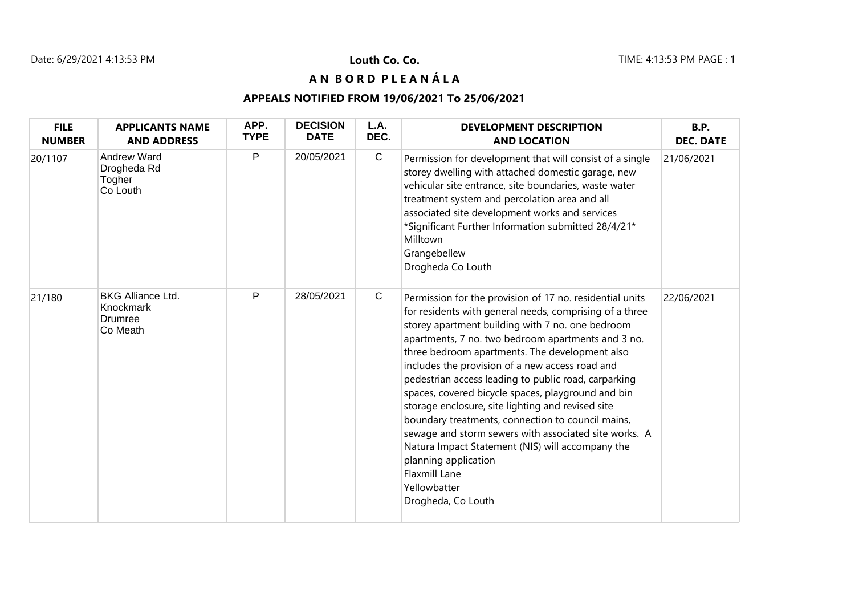## **A N B O R D P L E A N Á L A**

### **APPEALS NOTIFIED FROM 19/06/2021 To 25/06/2021**

| <b>FILE</b><br><b>NUMBER</b> | <b>APPLICANTS NAME</b><br><b>AND ADDRESS</b>                 | APP.<br><b>TYPE</b> | <b>DECISION</b><br><b>DATE</b> | L.A.<br>DEC. | <b>DEVELOPMENT DESCRIPTION</b><br><b>AND LOCATION</b>                                                                                                                                                                                                                                                                                                                                                                                                                                                                                                                                                                                                                                                                                                  | B.P.<br><b>DEC. DATE</b> |
|------------------------------|--------------------------------------------------------------|---------------------|--------------------------------|--------------|--------------------------------------------------------------------------------------------------------------------------------------------------------------------------------------------------------------------------------------------------------------------------------------------------------------------------------------------------------------------------------------------------------------------------------------------------------------------------------------------------------------------------------------------------------------------------------------------------------------------------------------------------------------------------------------------------------------------------------------------------------|--------------------------|
| 20/1107                      | <b>Andrew Ward</b><br>Drogheda Rd<br>Togher<br>Co Louth      | P                   | 20/05/2021                     | $\mathbf C$  | Permission for development that will consist of a single<br>storey dwelling with attached domestic garage, new<br>vehicular site entrance, site boundaries, waste water<br>treatment system and percolation area and all<br>associated site development works and services<br>*Significant Further Information submitted 28/4/21*<br>Milltown<br>Grangebellew<br>Drogheda Co Louth                                                                                                                                                                                                                                                                                                                                                                     | 21/06/2021               |
| 21/180                       | <b>BKG Alliance Ltd.</b><br>Knockmark<br>Drumree<br>Co Meath | P                   | 28/05/2021                     | $\mathbf C$  | Permission for the provision of 17 no. residential units<br>for residents with general needs, comprising of a three<br>storey apartment building with 7 no. one bedroom<br>apartments, 7 no. two bedroom apartments and 3 no.<br>three bedroom apartments. The development also<br>includes the provision of a new access road and<br>pedestrian access leading to public road, carparking<br>spaces, covered bicycle spaces, playground and bin<br>storage enclosure, site lighting and revised site<br>boundary treatments, connection to council mains,<br>sewage and storm sewers with associated site works. A<br>Natura Impact Statement (NIS) will accompany the<br>planning application<br>Flaxmill Lane<br>Yellowbatter<br>Drogheda, Co Louth | 22/06/2021               |